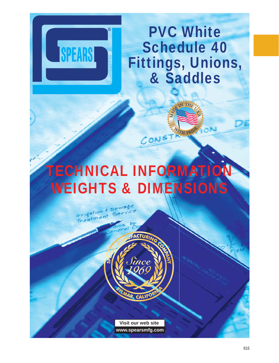

PVC White Schedule 40 Fittings, Unions, & Saddles

# TECHNICAL INFORMATION WEIGHTS & DIMENSIONS

 $CON<sup>5</sup>$ 



Irrigation & Sewage

 $r$  isother to

**Visit our web site www.spearsmfg.com**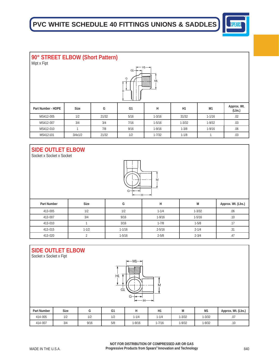

| 90° STREET ELBOW (Short Pattern)<br>Mipt x Fipt     |             |       |                |            |            |              |                       |  |  |
|-----------------------------------------------------|-------------|-------|----------------|------------|------------|--------------|-----------------------|--|--|
| H— H1— <del>→</del> I<br>$G1 -$<br>G<br>M1<br>uuuul |             |       |                |            |            |              |                       |  |  |
| Part Number - HDPE                                  | <b>Size</b> | G     | G <sub>1</sub> | н          | H1         | M1           | Approx. Wt.<br>(Lbs.) |  |  |
| MS412-005                                           | 1/2         | 21/32 | 5/16           | $1 - 3/16$ | 31/32      | $1 - 1/16$   | .02                   |  |  |
| MS412-007                                           | 3/4         | 3/4   | 7/16           | $1 - 5/16$ | $1 - 3/32$ | $1 - 9/32$   | .03                   |  |  |
| MS412-010                                           |             | 7/8   | 9/16           | $1 - 9/16$ | $1 - 3/8$  | $1 - 9/16$   | .06                   |  |  |
| MS412-101                                           | 3/4x1/2     | 21/32 | 1/2            | $1 - 7/32$ | $1 - 1/8$  | $\mathbf{I}$ | .03                   |  |  |

#### **SIDE OUTLET ELBOW**

Socket x Socket x Socket



| <b>Part Number</b> | <b>Size</b> | G          | н          | М          | Approx. Wt. (Lbs.) |
|--------------------|-------------|------------|------------|------------|--------------------|
| 413-005            | 1/2         | 1/2        | $1 - 1/4$  | $1 - 3/32$ | .06                |
| 413-007            | 3/4         | 9/16       | $1 - 9/16$ | $1 - 5/16$ | .10                |
| 413-010            |             | 3/16       | $1 - 7/8$  | $1 - 5/8$  | .11                |
| 413-015            | $1 - 1/2$   | $1 - 1/16$ | $2 - 5/16$ | $2 - 1/4$  | .31                |
| 413-020            |             | $1 - 5/16$ | $2 - 5/8$  | $2 - 3/4$  | .41                |

### **SIDE OUTLET ELBOW**

Socket x Socket x Fipt



| <b>Part Number</b> | <b>Size</b> | ີ    | G <sub>1</sub> |            | H1         | . .<br>IVI | M <sub>1</sub> | Approx. Wt. (Lbs.) |
|--------------------|-------------|------|----------------|------------|------------|------------|----------------|--------------------|
| 414-005            | 1/2         | 1/2  | 1/2            | $1 - 1/4$  | $1 - 1/4$  | $1 - 3/32$ | $1 - 3/32$     | .07                |
| 414-007            | 3/4         | 9/16 | 5/8            | $1 - 9/16$ | $1 - 7/16$ | $1 - 9/32$ | $1 - 9/32$     | .10                |